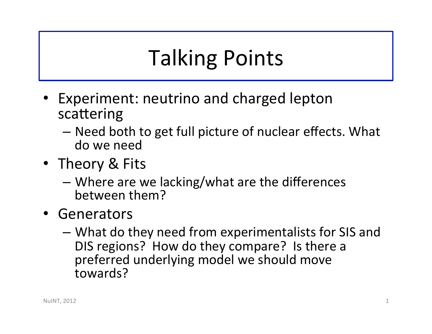## **Talking Points**

- Experiment: neutrino and charged lepton scattering
	- Need both to get full picture of nuclear effects. What do we need
- Theory & Fits
	- $-$  Where are we lacking/what are the differences between them?
- Generators
	- $-$  What do they need from experimentalists for SIS and DIS regions? How do they compare? Is there a preferred underlying model we should move towards?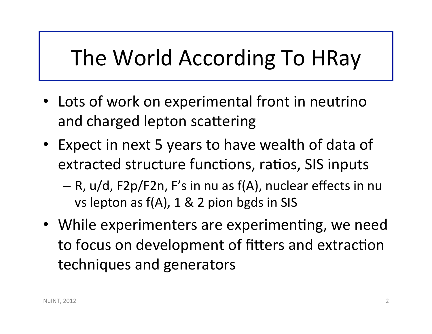## The World According To HRay

- Lots of work on experimental front in neutrino and charged lepton scattering
- Expect in next 5 years to have wealth of data of extracted structure functions, ratios, SIS inputs
	- $-$  R, u/d, F2p/F2n, F's in nu as f(A), nuclear effects in nu vs lepton as  $f(A)$ , 1 & 2 pion bgds in SIS
- While experimenters are experimenting, we need to focus on development of fitters and extraction techniques and generators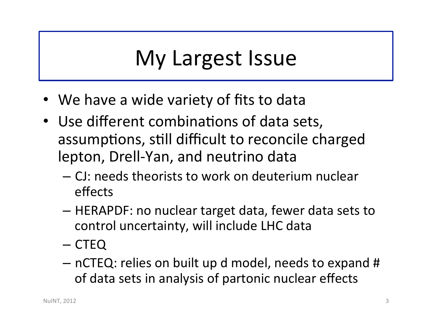## My Largest Issue

- We have a wide variety of fits to data
- Use different combinations of data sets, assumptions, still difficult to reconcile charged lepton, Drell-Yan, and neutrino data
	- CJ: needs theorists to work on deuterium nuclear effects
	- $-$  HERAPDF: no nuclear target data, fewer data sets to control uncertainty, will include LHC data
	- CTEQ
	- $-$  nCTEQ: relies on built up d model, needs to expand # of data sets in analysis of partonic nuclear effects